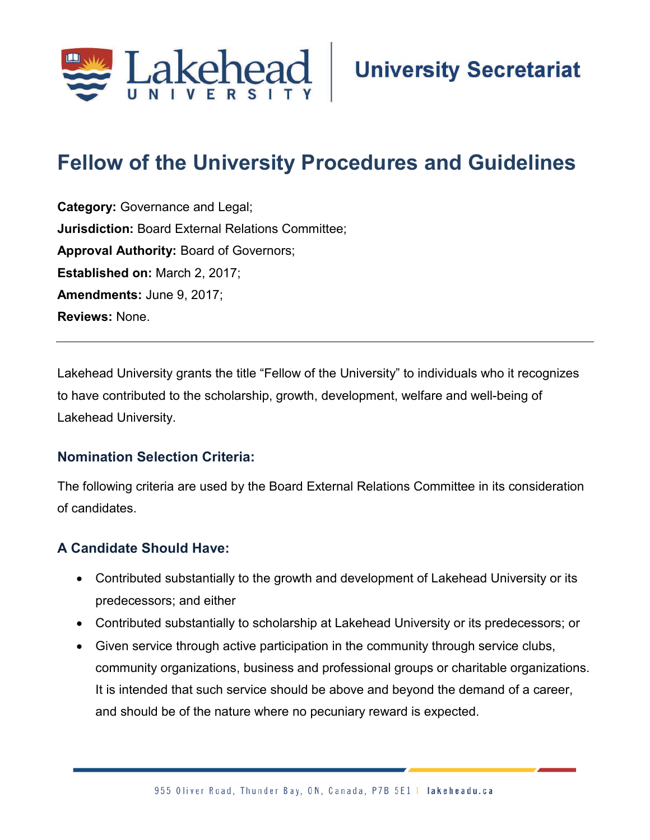

# **Fellow of the University Procedures and Guidelines**

**Category:** Governance and Legal; **Jurisdiction:** Board External Relations Committee; **Approval Authority:** Board of Governors; **Established on:** March 2, 2017; **Amendments:** June 9, 2017; **Reviews:** None.

Lakehead University grants the title "Fellow of the University" to individuals who it recognizes to have contributed to the scholarship, growth, development, welfare and well-being of Lakehead University.

#### **Nomination Selection Criteria:**

The following criteria are used by the Board External Relations Committee in its consideration of candidates.

#### **A Candidate Should Have:**

- Contributed substantially to the growth and development of Lakehead University or its predecessors; and either
- Contributed substantially to scholarship at Lakehead University or its predecessors; or
- Given service through active participation in the community through service clubs, community organizations, business and professional groups or charitable organizations. It is intended that such service should be above and beyond the demand of a career, and should be of the nature where no pecuniary reward is expected.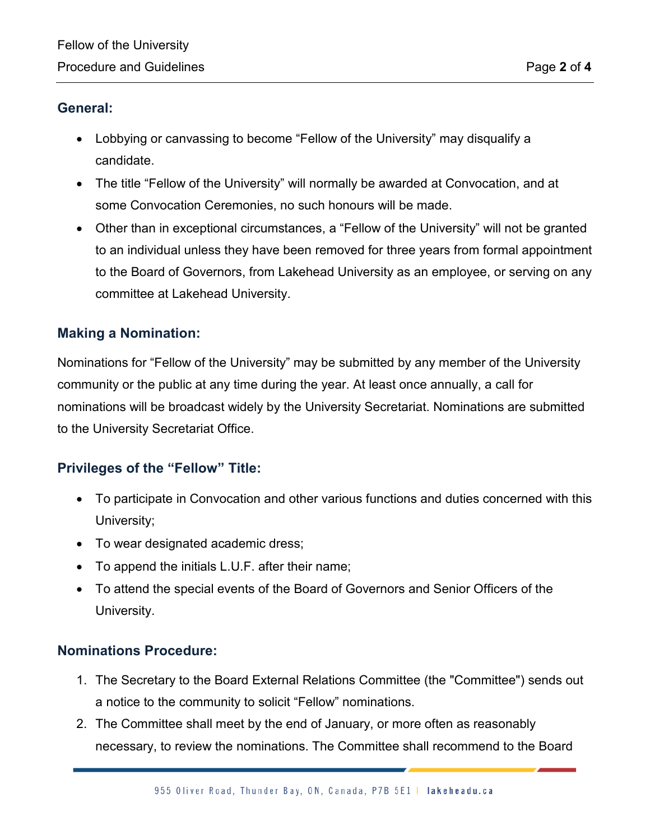#### **General:**

- Lobbying or canvassing to become "Fellow of the University" may disqualify a candidate.
- The title "Fellow of the University" will normally be awarded at Convocation, and at some Convocation Ceremonies, no such honours will be made.
- Other than in exceptional circumstances, a "Fellow of the University" will not be granted to an individual unless they have been removed for three years from formal appointment to the Board of Governors, from Lakehead University as an employee, or serving on any committee at Lakehead University.

#### **Making a Nomination:**

Nominations for "Fellow of the University" may be submitted by any member of the University community or the public at any time during the year. At least once annually, a call for nominations will be broadcast widely by the University Secretariat. Nominations are submitted to the University Secretariat Office.

#### **Privileges of the "Fellow" Title:**

- To participate in Convocation and other various functions and duties concerned with this University;
- To wear designated academic dress;
- To append the initials L.U.F. after their name;
- To attend the special events of the Board of Governors and Senior Officers of the University.

#### **Nominations Procedure:**

- 1. The Secretary to the Board External Relations Committee (the "Committee") sends out a notice to the community to solicit "Fellow" nominations.
- 2. The Committee shall meet by the end of January, or more often as reasonably necessary, to review the nominations. The Committee shall recommend to the Board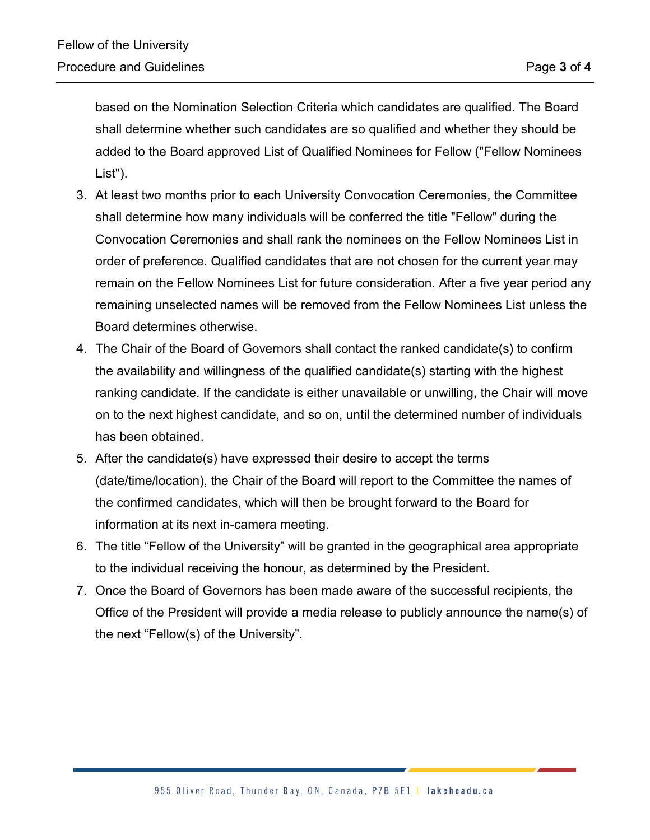based on the Nomination Selection Criteria which candidates are qualified. The Board shall determine whether such candidates are so qualified and whether they should be added to the Board approved List of Qualified Nominees for Fellow ("Fellow Nominees List").

- 3. At least two months prior to each University Convocation Ceremonies, the Committee shall determine how many individuals will be conferred the title "Fellow" during the Convocation Ceremonies and shall rank the nominees on the Fellow Nominees List in order of preference. Qualified candidates that are not chosen for the current year may remain on the Fellow Nominees List for future consideration. After a five year period any remaining unselected names will be removed from the Fellow Nominees List unless the Board determines otherwise.
- 4. The Chair of the Board of Governors shall contact the ranked candidate(s) to confirm the availability and willingness of the qualified candidate(s) starting with the highest ranking candidate. If the candidate is either unavailable or unwilling, the Chair will move on to the next highest candidate, and so on, until the determined number of individuals has been obtained.
- 5. After the candidate(s) have expressed their desire to accept the terms (date/time/location), the Chair of the Board will report to the Committee the names of the confirmed candidates, which will then be brought forward to the Board for information at its next in-camera meeting.
- 6. The title "Fellow of the University" will be granted in the geographical area appropriate to the individual receiving the honour, as determined by the President.
- 7. Once the Board of Governors has been made aware of the successful recipients, the Office of the President will provide a media release to publicly announce the name(s) of the next "Fellow(s) of the University".